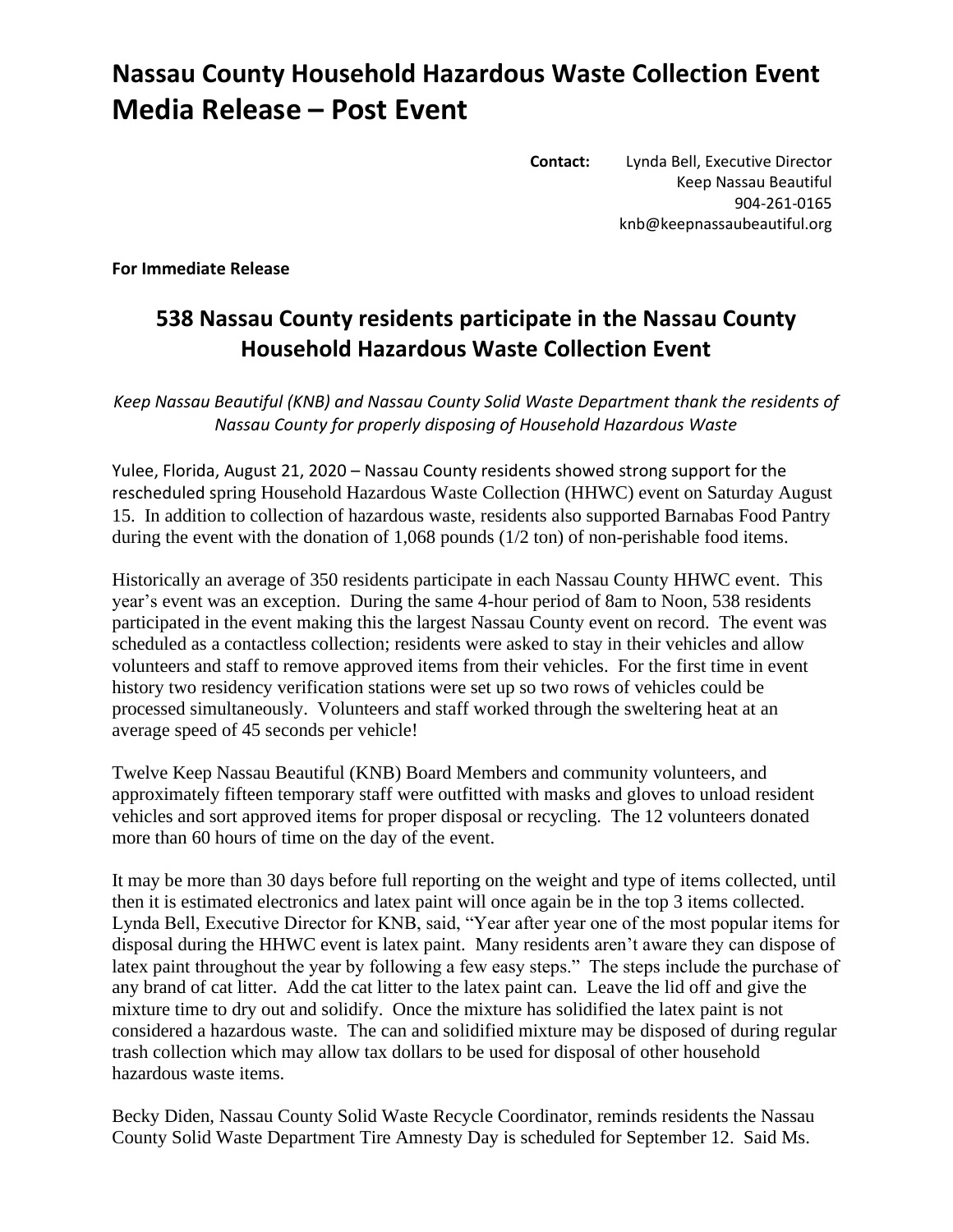## **Nassau County Household Hazardous Waste Collection Event Media Release – Post Event**

**Contact:** Lynda Bell, Executive Director Keep Nassau Beautiful 904-261-0165 knb@keepnassaubeautiful.org

**For Immediate Release**

## **538 Nassau County residents participate in the Nassau County Household Hazardous Waste Collection Event**

*Keep Nassau Beautiful (KNB) and Nassau County Solid Waste Department thank the residents of Nassau County for properly disposing of Household Hazardous Waste*

Yulee, Florida, August 21, 2020 – Nassau County residents showed strong support for the rescheduled spring Household Hazardous Waste Collection (HHWC) event on Saturday August 15. In addition to collection of hazardous waste, residents also supported Barnabas Food Pantry during the event with the donation of 1,068 pounds (1/2 ton) of non-perishable food items.

Historically an average of 350 residents participate in each Nassau County HHWC event. This year's event was an exception. During the same 4-hour period of 8am to Noon, 538 residents participated in the event making this the largest Nassau County event on record. The event was scheduled as a contactless collection; residents were asked to stay in their vehicles and allow volunteers and staff to remove approved items from their vehicles. For the first time in event history two residency verification stations were set up so two rows of vehicles could be processed simultaneously. Volunteers and staff worked through the sweltering heat at an average speed of 45 seconds per vehicle!

Twelve Keep Nassau Beautiful (KNB) Board Members and community volunteers, and approximately fifteen temporary staff were outfitted with masks and gloves to unload resident vehicles and sort approved items for proper disposal or recycling. The 12 volunteers donated more than 60 hours of time on the day of the event.

It may be more than 30 days before full reporting on the weight and type of items collected, until then it is estimated electronics and latex paint will once again be in the top 3 items collected. Lynda Bell, Executive Director for KNB, said, "Year after year one of the most popular items for disposal during the HHWC event is latex paint. Many residents aren't aware they can dispose of latex paint throughout the year by following a few easy steps." The steps include the purchase of any brand of cat litter. Add the cat litter to the latex paint can. Leave the lid off and give the mixture time to dry out and solidify. Once the mixture has solidified the latex paint is not considered a hazardous waste. The can and solidified mixture may be disposed of during regular trash collection which may allow tax dollars to be used for disposal of other household hazardous waste items.

Becky Diden, Nassau County Solid Waste Recycle Coordinator, reminds residents the Nassau County Solid Waste Department Tire Amnesty Day is scheduled for September 12. Said Ms.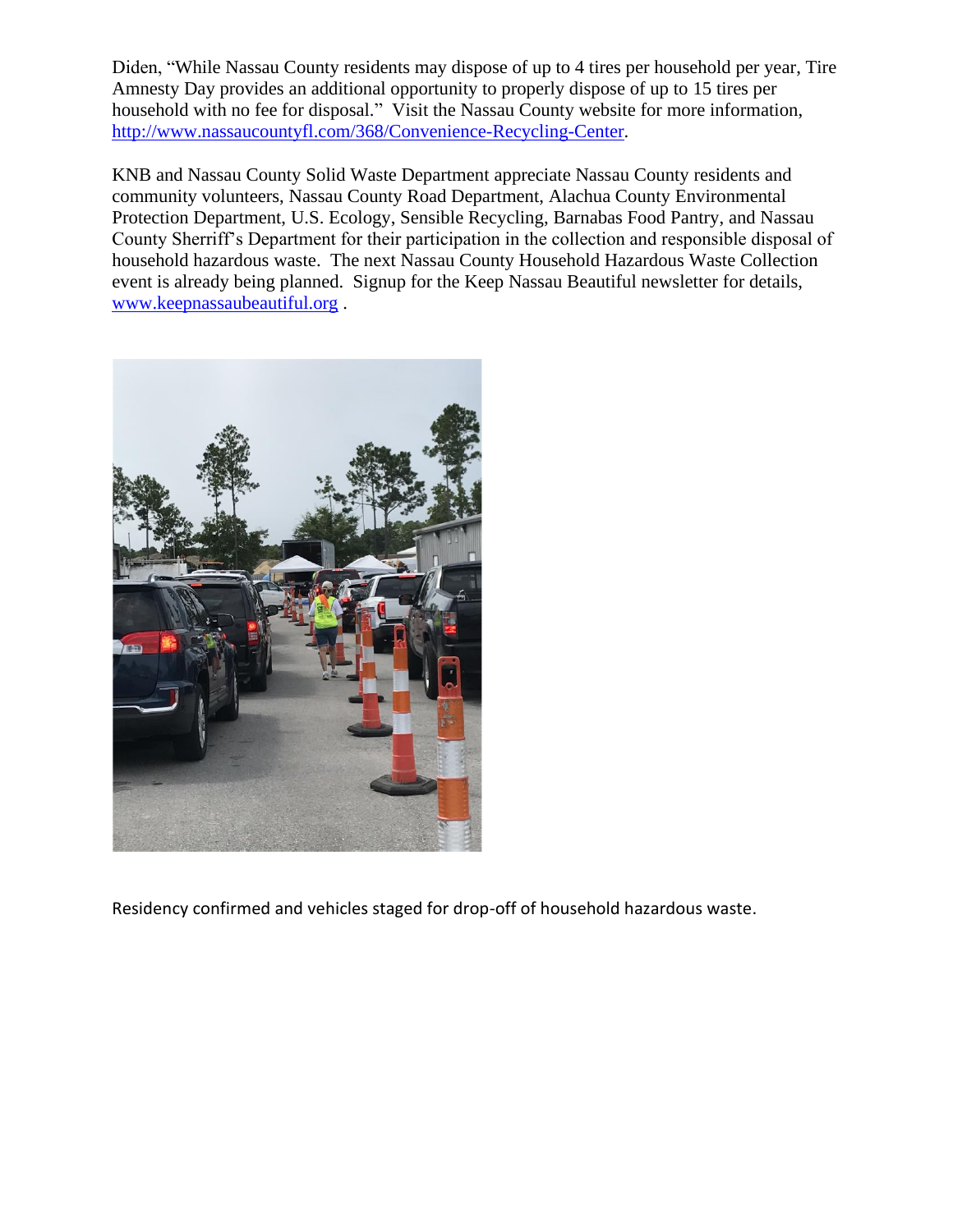Diden, "While Nassau County residents may dispose of up to 4 tires per household per year, Tire Amnesty Day provides an additional opportunity to properly dispose of up to 15 tires per household with no fee for disposal." Visit the Nassau County website for more information, [http://www.nassaucountyfl.com/368/Convenience-Recycling-Center.](http://www.nassaucountyfl.com/368/Convenience-Recycling-Center)

KNB and Nassau County Solid Waste Department appreciate Nassau County residents and community volunteers, Nassau County Road Department, Alachua County Environmental Protection Department, U.S. Ecology, Sensible Recycling, Barnabas Food Pantry, and Nassau County Sherriff's Department for their participation in the collection and responsible disposal of household hazardous waste. The next Nassau County Household Hazardous Waste Collection event is already being planned. Signup for the Keep Nassau Beautiful newsletter for details, [www.keepnassaubeautiful.org](http://www.keepnassaubeautiful.org/) .



Residency confirmed and vehicles staged for drop-off of household hazardous waste.